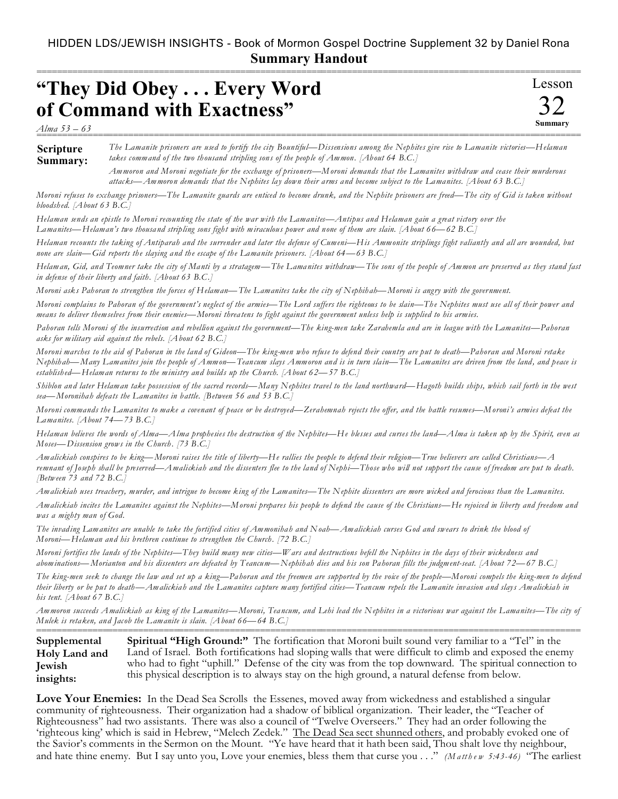## =========================================================================================================== **"They Did Obey . . . Every Word of Command with Exactness"**

*Alma 53 – 63* ===========================================================================================================

**Scripture Summary:** *The Lamanite prisoners are used to fortify the city Bountiful—Dissensions among the Nephites give rise to Lamanite victories—Helaman takes command of the two thousand stripling sons of the people of Ammon. [About 64 B.C.]*

*Ammoron and Moroni negotiate for the exchange of prisoners—M oroni demands that the Lamanites withdraw and cease their murderous attacks—Ammoron demands that the Nephites lay down their arms and become subject to the Lamanites. [About 63 B.C.]*

*Moroni refuses to exchange prisoners—The Lamanite guards are enticed to become drunk, and the Nephite prisoners are freed—The city of Gid is taken without bloodshed. [About 63 B.C.]*

*Helaman sends an epistle to Moroni recounting the state of the war with the Lamanites—Antipus and Helaman gain a great victory over the Lamanites—Helaman's two thousand stripling sons fight with miraculous power and none of them are slain. [About 66—62 B.C.]*

*Helaman recounts the taking of Antiparah and the surrender and later the defense of Cumeni—His Ammonite striplings fight valiantly and all are wounded, but none are slain—Gid reports the slaying and the escape of the Lamanite prisoners. [About 64—63 B.C.]* 

*Helaman, Gid, and Teomner take the city of Manti by a stratagem—The Lamanites withdraw—The sons of the people of Ammon are preserved as they stand fast in defense of their liberty and faith. [About 63 B.C.]*

*Moroni asks Pahoran to strengthen the forces of Helaman—The Lamanites take the city of Nephihah—Moroni is angry with the government.* 

*Moroni complains to Pahoran of the government's neglect of the armies—The Lord suffers the righteous to be slain—Th e Nephites must use all of their power and means to deliver themselves from their enemies—Moroni threatens to fight against the government unless help is supplied to his armies.*

*Pahoran tells Moroni of the insurrection and rebellion against the government—The king-men take Zarahemla and are in league with the Lamanites—Pahoran asks for military aid against the rebels. [About 62 B.C.]*

*Moroni marches to the aid of Pahoran in the land of Gideon—The king-men who refuse to defend their country are put to death—Pahoran and Moroni retake Nephihah—Many Lamanites join the people of Ammon—Teancum slays Ammoron and is in turn slain—The Lamanites are driven from the land, and peace is established—Helaman returns to the ministry and builds up the Church. [About 62—57 B.C.]*

*Shiblon and later Helaman take possession of the sacred records—Many Nephites travel to the land northward—Hagoth builds ships, which sail forth in the west sea—Moronihah defeats the Lamanites in battle. [Between 56 and 53 B.C.]*

*Moroni commands the Lamanites to make a covenant of peace or be destroyed—Zerahemnah rejects the offer, and the battle resumes—Moroni's armies defeat the Lamanites. [About 74—73 B.C.]*

*Helaman believes the words of Alma—Alma prophesies the destruction of the Nephites—He blesses and curses the land—Alma is taken up by the Spirit, even as Moses—Dissension grows in the Church. [73 B.C.]*

*Amalickiah conspires to be king—Moroni raises the title of liberty—He rallies the people to defend their religion—True believers are called Christians—A remnant of Joseph shall be preserved—Amalickiah and the dissenters flee to the land of Nephi—Those who will not support the cause of freedom are put to death. [Between 73 and 72 B.C.]*

*Amalickiah uses treachery, murder, and intrigue to become king of the Lamanites—The Nephite dissenters are more wicked and ferocious than the Lamanites.*

*Amalickiah incites the Lamanites against the Nephites—Moroni prepares his people to defend the cause of the Christians—He rejoiced in liberty and freedom and was a mighty man of God.*

*The invading Lamanites are unable to take the fortified cities of Ammonihah and Noah—Amalickiah curses God and swears to drink the blood of Moroni—Helaman and his brethren continue to strengthen the Church. [72 B.C.]*

*Moroni fortifies the lands of the Nephites—They build many new cities—Wars and destructions befell the Nephites in the days of their wickedness and abominations—Morianton and his dissenters are defeated by Teancum—Nephihah dies and his son Pahoran fills the judgment-seat. [About 72—67 B.C.]*

*The king-men seek to change the law and set up a king—Pahoran and the freemen are supported by the voice of the people—Moroni compels the king-men to defend their liberty or be put to death—Amalickiah and the Lamanites capture many fortified cities—Teancum repels the Lamanite invasion and slays Amalickiah in his tent. [About 67 B.C.]*

*Ammoron succeeds Amalickiah as king of the Lamanites—Moroni, Teancum, and Lehi lead the Nephites in a victorious war against the Lamanites—The city of Mulek is retaken, and Jacob the Lamanite is slain. [About 66—64 B.C.]* ===========================================================================================================

**Spiritual "High Ground:"** The fortification that Moroni built sound very familiar to a "Tel" in the Land of Israel. Both fortifications had sloping walls that were difficult to climb and exposed the enemy who had to fight "uphill." Defense of the city was from the top downward. The spiritual connection to this physical description is to always stay on the high ground, a natural defense from below. **Supplemental Holy Land and Jewish insights:**

Love Your Enemies: In the Dead Sea Scrolls the Essenes, moved away from wickedness and established a singular community of righteousness. Their organization had a shadow of biblical organization. Their leader, the "Teacher of Righteousness" had two assistants. There was also a council of "Twelve Overseers." They had an order following the 'righteous king' which is said in Hebrew, "Melech Zedek." The Dead Sea sect shunned others, and probably evoked one of the Savior's comments in the Sermon on the Mount. "Ye have heard that it hath been said, Thou shalt love thy neighbour, and hate thine enemy. But I say unto you, Love your enemies, bless them that curse you . . ." *(M a tt h e w 5:43- 46)* "The earliest